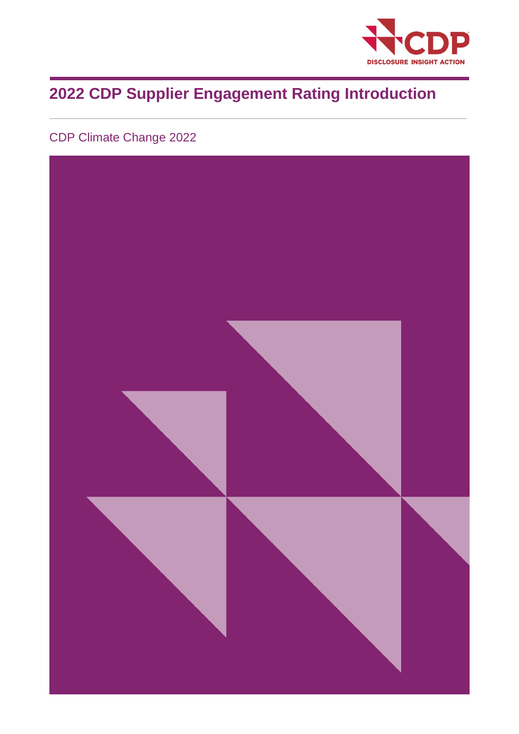

# **2022 CDP Supplier Engagement Rating Introduction**

## CDP Climate Change 2022

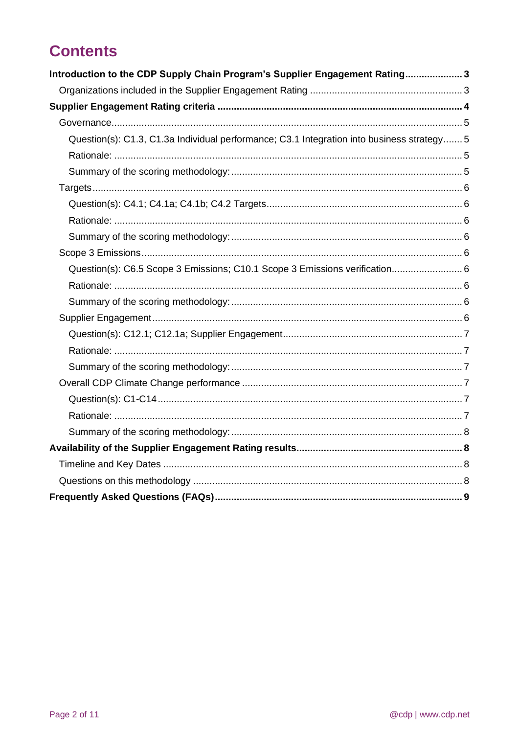# **Contents**

| Introduction to the CDP Supply Chain Program's Supplier Engagement Rating3                 |  |
|--------------------------------------------------------------------------------------------|--|
|                                                                                            |  |
|                                                                                            |  |
|                                                                                            |  |
| Question(s): C1.3, C1.3a Individual performance; C3.1 Integration into business strategy 5 |  |
|                                                                                            |  |
|                                                                                            |  |
|                                                                                            |  |
|                                                                                            |  |
|                                                                                            |  |
|                                                                                            |  |
|                                                                                            |  |
| Question(s): C6.5 Scope 3 Emissions; C10.1 Scope 3 Emissions verification 6                |  |
|                                                                                            |  |
|                                                                                            |  |
|                                                                                            |  |
|                                                                                            |  |
|                                                                                            |  |
|                                                                                            |  |
|                                                                                            |  |
|                                                                                            |  |
|                                                                                            |  |
|                                                                                            |  |
|                                                                                            |  |
|                                                                                            |  |
|                                                                                            |  |
|                                                                                            |  |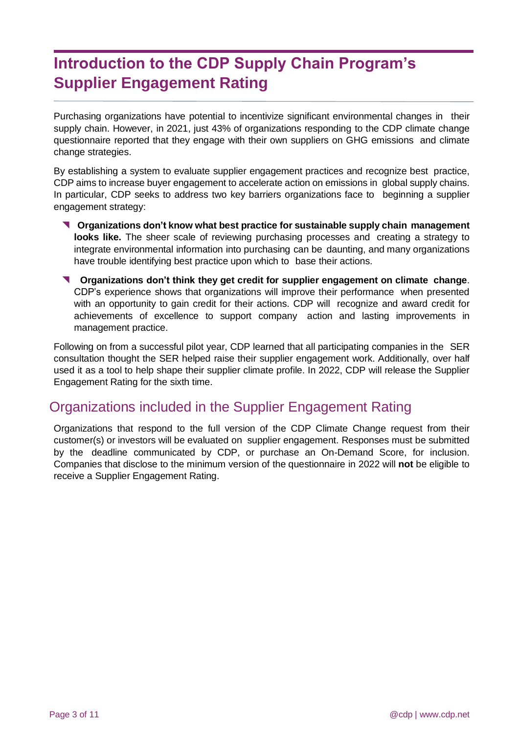# <span id="page-2-0"></span>**Introduction to the CDP Supply Chain Program's Supplier Engagement Rating**

Purchasing organizations have potential to incentivize significant environmental changes in their supply chain. However, in 2021, just 43% of organizations responding to the CDP climate change questionnaire reported that they engage with their own suppliers on GHG emissions and climate change strategies.

By establishing a system to evaluate supplier engagement practices and recognize best practice, CDP aims to increase buyer engagement to accelerate action on emissions in global supply chains. In particular, CDP seeks to address two key barriers organizations face to beginning a supplier engagement strategy:

- **Organizations don't know what best practice for sustainable supply chain management looks like.** The sheer scale of reviewing purchasing processes and creating a strategy to integrate environmental information into purchasing can be daunting, and many organizations have trouble identifying best practice upon which to base their actions.
- **Organizations don't think they get credit for supplier engagement on climate change**. CDP's experience shows that organizations will improve their performance when presented with an opportunity to gain credit for their actions. CDP will recognize and award credit for achievements of excellence to support company action and lasting improvements in management practice.

Following on from a successful pilot year, CDP learned that all participating companies in the SER consultation thought the SER helped raise their supplier engagement work. Additionally, over half used it as a tool to help shape their supplier climate profile. In 2022, CDP will release the Supplier Engagement Rating for the sixth time.

### <span id="page-2-1"></span>Organizations included in the Supplier Engagement Rating

Organizations that respond to the full version of the CDP Climate Change request from their customer(s) or investors will be evaluated on supplier engagement. Responses must be submitted by the deadline communicated by CDP, or purchase an On-Demand Score, for inclusion. Companies that disclose to the minimum version of the questionnaire in 2022 will **not** be eligible to receive a Supplier Engagement Rating.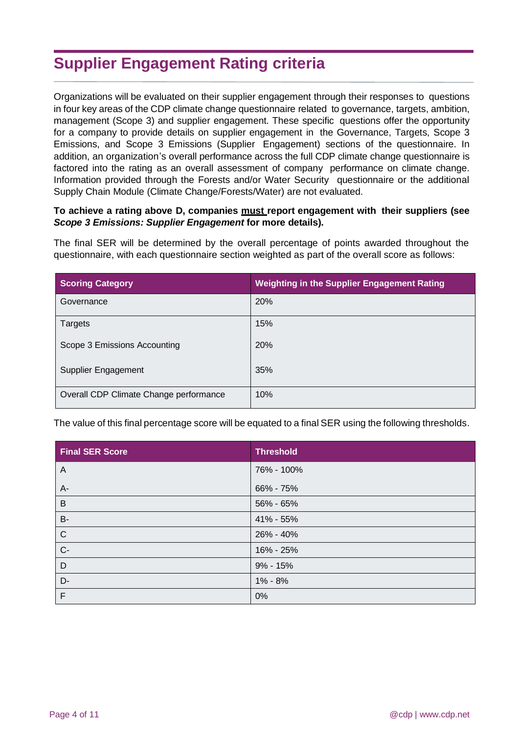# <span id="page-3-0"></span>**Supplier Engagement Rating criteria**

Organizations will be evaluated on their supplier engagement through their responses to questions in four key areas of the CDP climate change questionnaire related to governance, targets, ambition, management (Scope 3) and supplier engagement. These specific questions offer the opportunity for a company to provide details on supplier engagement in the Governance, Targets, Scope 3 Emissions, and Scope 3 Emissions (Supplier Engagement) sections of the questionnaire. In addition, an organization's overall performance across the full CDP climate change questionnaire is factored into the rating as an overall assessment of company performance on climate change. Information provided through the Forests and/or Water Security questionnaire or the additional Supply Chain Module (Climate Change/Forests/Water) are not evaluated.

#### **To achieve a rating above D, companies must report engagement with their suppliers (see**  *Scope 3 Emissions: Supplier Engagement* **for more details).**

The final SER will be determined by the overall percentage of points awarded throughout the questionnaire, with each questionnaire section weighted as part of the overall score as follows:

| <b>Scoring Category</b>                | <b>Weighting in the Supplier Engagement Rating</b> |
|----------------------------------------|----------------------------------------------------|
| Governance                             | 20%                                                |
| Targets                                | 15%                                                |
| Scope 3 Emissions Accounting           | <b>20%</b>                                         |
| Supplier Engagement                    | 35%                                                |
| Overall CDP Climate Change performance | 10%                                                |

The value of this final percentage score will be equated to a final SER using the following thresholds.

| <b>Final SER Score</b> | <b>Threshold</b> |
|------------------------|------------------|
| A                      | 76% - 100%       |
| A-                     | 66% - 75%        |
| B                      | 56% - 65%        |
| <b>B-</b>              | 41% - 55%        |
| $\mathsf{C}$           | 26% - 40%        |
| $C -$                  | 16% - 25%        |
| D                      | $9\% - 15\%$     |
| D-                     | 1% - 8%          |
| F                      | 0%               |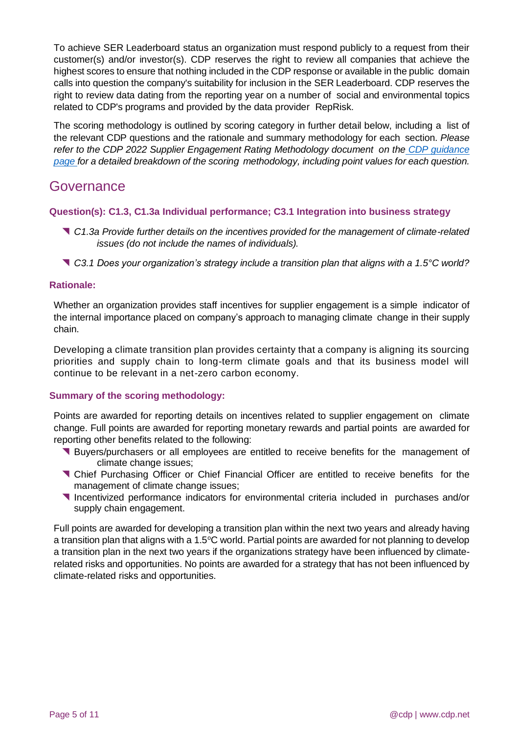To achieve SER Leaderboard status an organization must respond publicly to a request from their customer(s) and/or investor(s). CDP reserves the right to review all companies that achieve the highest scores to ensure that nothing included in the CDP response or available in the public domain calls into question the company's suitability for inclusion in the SER Leaderboard. CDP reserves the right to review data dating from the reporting year on a number of social and environmental topics related to CDP's programs and provided by the data provider RepRisk.

The scoring methodology is outlined by scoring category in further detail below, including a list of the relevant CDP questions and the rationale and summary methodology for each section. *Please refer to the CDP 2022 Supplier Engagement Rating Methodology document on the [CDP guidance](https://www.cdp.net/en/guidance/guidance-for-companies) [page](https://www.cdp.net/en/guidance/guidance-for-companies) for a detailed breakdown of the scoring methodology, including point values for each question.*

### <span id="page-4-0"></span>Governance

#### <span id="page-4-1"></span>**Question(s): C1.3, C1.3a Individual performance; C3.1 Integration into business strategy**

- *C1.3a Provide further details on the incentives provided for the management of climate-related issues (do not include the names of individuals).*
- *C3.1 Does your organization's strategy include a transition plan that aligns with a 1.5°C world?*

#### <span id="page-4-2"></span>**Rationale:**

Whether an organization provides staff incentives for supplier engagement is a simple indicator of the internal importance placed on company's approach to managing climate change in their supply chain.

Developing a climate transition plan provides certainty that a company is aligning its sourcing priorities and supply chain to long-term climate goals and that its business model will continue to be relevant in a net-zero carbon economy.

#### <span id="page-4-3"></span>**Summary of the scoring methodology:**

Points are awarded for reporting details on incentives related to supplier engagement on climate change. Full points are awarded for reporting monetary rewards and partial points are awarded for reporting other benefits related to the following:

- Buyers/purchasers or all employees are entitled to receive benefits for the management of climate change issues;
- Chief Purchasing Officer or Chief Financial Officer are entitled to receive benefits for the management of climate change issues;
- Incentivized performance indicators for environmental criteria included in purchases and/or supply chain engagement.

<span id="page-4-4"></span>Full points are awarded for developing a transition plan within the next two years and already having a transition plan that aligns with a 1.5 $\degree$ C world. Partial points are awarded for not planning to develop a transition plan in the next two years if the organizations strategy have been influenced by climaterelated risks and opportunities. No points are awarded for a strategy that has not been influenced by climate-related risks and opportunities.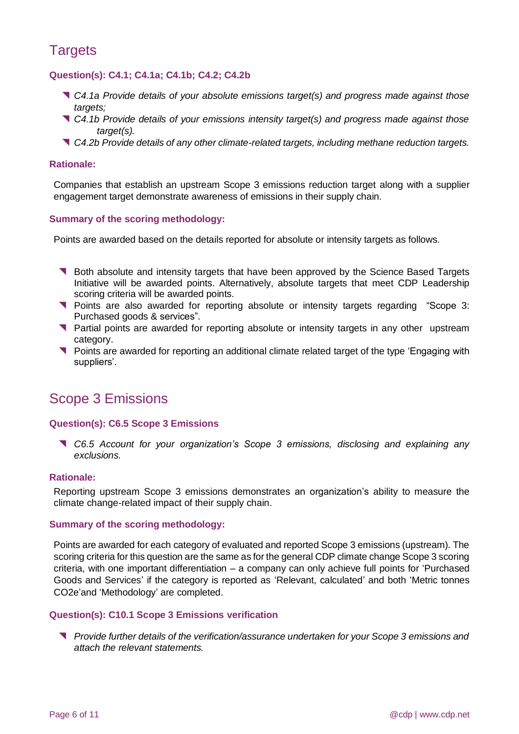## **Targets**

#### <span id="page-5-0"></span>**Question(s): C4.1; C4.1a; C4.1b; C4.2; C4.2b**

- *C4.1a Provide details of your absolute emissions target(s) and progress made against those targets;*
- *C4.1b Provide details of your emissions intensity target(s) and progress made against those target(s).*
- *C4.2b Provide details of any other climate-related targets, including methane reduction targets.*

#### <span id="page-5-1"></span>**Rationale:**

Companies that establish an upstream Scope 3 emissions reduction target along with a supplier engagement target demonstrate awareness of emissions in their supply chain.

#### <span id="page-5-2"></span>**Summary of the scoring methodology:**

Points are awarded based on the details reported for absolute or intensity targets as follows.

- **Both absolute and intensity targets that have been approved by the Science Based Targets** Initiative will be awarded points. Alternatively, absolute targets that meet CDP Leadership scoring criteria will be awarded points.
- **Points are also awarded for reporting absolute or intensity targets regarding "Scope 3:** Purchased goods & services".
- **T** Partial points are awarded for reporting absolute or intensity targets in any other upstream category.
- Points are awarded for reporting an additional climate related target of the type 'Engaging with suppliers'.

### <span id="page-5-3"></span>Scope 3 Emissions

#### <span id="page-5-4"></span>**Question(s): C6.5 Scope 3 Emissions**

 *C6.5 Account for your organization's Scope 3 emissions, disclosing and explaining any exclusions.*

#### <span id="page-5-5"></span>**Rationale:**

Reporting upstream Scope 3 emissions demonstrates an organization's ability to measure the climate change-related impact of their supply chain.

#### <span id="page-5-6"></span>**Summary of the scoring methodology:**

Points are awarded for each category of evaluated and reported Scope 3 emissions (upstream). The scoring criteria for this question are the same as for the general CDP climate change Scope 3 scoring criteria, with one important differentiation – a company can only achieve full points for 'Purchased Goods and Services' if the category is reported as 'Relevant, calculated' and both 'Metric tonnes CO2e'and 'Methodology' are completed.

#### <span id="page-5-7"></span>**Question(s): C10.1 Scope 3 Emissions verification**

 *Provide further details of the verification/assurance undertaken for your Scope 3 emissions and attach the relevant statements.*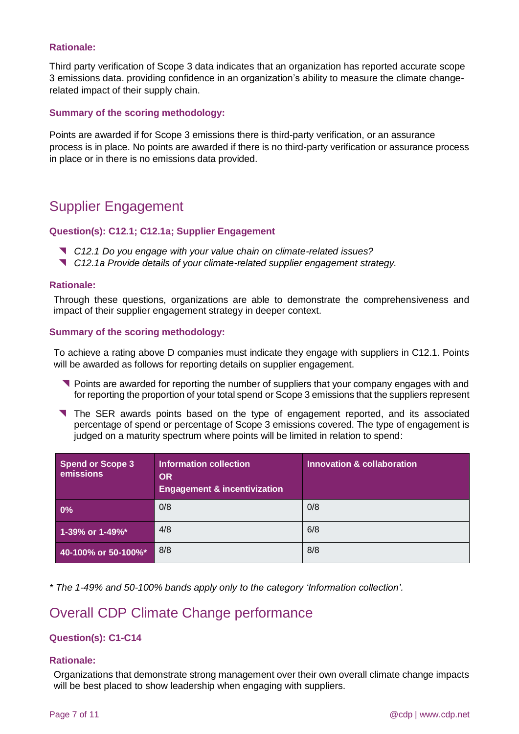#### **Rationale:**

Third party verification of Scope 3 data indicates that an organization has reported accurate scope 3 emissions data. providing confidence in an organization's ability to measure the climate changerelated impact of their supply chain.

#### **Summary of the scoring methodology:**

Points are awarded if for Scope 3 emissions there is third-party verification, or an assurance process is in place. No points are awarded if there is no third-party verification or assurance process in place or in there is no emissions data provided.

### Supplier Engagement

#### <span id="page-6-0"></span>**Question(s): C12.1; C12.1a; Supplier Engagement**

- *C12.1 Do you engage with your value chain on climate-related issues?*
- *C12.1a Provide details of your climate-related supplier engagement strategy.*

#### <span id="page-6-1"></span>**Rationale:**

Through these questions, organizations are able to demonstrate the comprehensiveness and impact of their supplier engagement strategy in deeper context.

#### <span id="page-6-2"></span>**Summary of the scoring methodology:**

To achieve a rating above D companies must indicate they engage with suppliers in C12.1. Points will be awarded as follows for reporting details on supplier engagement.

- Points are awarded for reporting the number of suppliers that your company engages with and for reporting the proportion of your total spend or Scope 3 emissions that the suppliers represent
- The SER awards points based on the type of engagement reported, and its associated percentage of spend or percentage of Scope 3 emissions covered. The type of engagement is judged on a maturity spectrum where points will be limited in relation to spend:

| <b>Spend or Scope 3</b><br>emissions | Information collection<br><b>OR</b><br><b>Engagement &amp; incentivization</b> | Innovation & collaboration |
|--------------------------------------|--------------------------------------------------------------------------------|----------------------------|
| $\mathbf{0\%}$                       | 0/8                                                                            | 0/8                        |
| 1-39% or 1-49%*                      | 4/8                                                                            | 6/8                        |
| 40-100% or 50-100%*                  | 8/8                                                                            | 8/8                        |

*\* The 1-49% and 50-100% bands apply only to the category 'Information collection'.*

### <span id="page-6-3"></span>Overall CDP Climate Change performance

#### <span id="page-6-4"></span>**Question(s): C1-C14**

#### <span id="page-6-5"></span>**Rationale:**

Organizations that demonstrate strong management over their own overall climate change impacts will be best placed to show leadership when engaging with suppliers.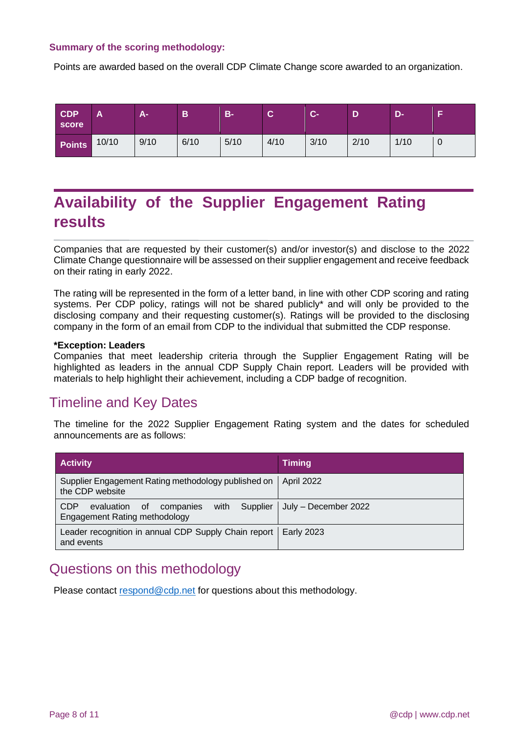#### <span id="page-7-0"></span>**Summary of the scoring methodology:**

Points are awarded based on the overall CDP Climate Change score awarded to an organization.

| <b>CDP</b><br>score \ | A     | ÆJ   | в    | $B -$ | ⌒<br>v | <b>C-</b> |      | D-   | Е |
|-----------------------|-------|------|------|-------|--------|-----------|------|------|---|
| <b>Points</b>         | 10/10 | 9/10 | 6/10 | 5/10  | 4/10   | 3/10      | 2/10 | 1/10 | 0 |

# <span id="page-7-1"></span>**Availability of the Supplier Engagement Rating results**

Companies that are requested by their customer(s) and/or investor(s) and disclose to the 2022 Climate Change questionnaire will be assessed on their supplier engagement and receive feedback on their rating in early 2022.

The rating will be represented in the form of a letter band, in line with other CDP scoring and rating systems. Per CDP policy, ratings will not be shared publicly\* and will only be provided to the disclosing company and their requesting customer(s). Ratings will be provided to the disclosing company in the form of an email from CDP to the individual that submitted the CDP response.

#### **\*Exception: Leaders**

Companies that meet leadership criteria through the Supplier Engagement Rating will be highlighted as leaders in the annual CDP Supply Chain report. Leaders will be provided with materials to help highlight their achievement, including a CDP badge of recognition.

### <span id="page-7-2"></span>Timeline and Key Dates

The timeline for the 2022 Supplier Engagement Rating system and the dates for scheduled announcements are as follows:

| <b>Activity</b>                                                                | <b>Timing</b>                   |
|--------------------------------------------------------------------------------|---------------------------------|
| Supplier Engagement Rating methodology published on<br>the CDP website         | <b>April 2022</b>               |
| <b>CDP</b><br>companies with<br>evaluation of<br>Engagement Rating methodology | Supplier   July – December 2022 |
| Leader recognition in annual CDP Supply Chain report<br>and events             | <b>Early 2023</b>               |

### <span id="page-7-3"></span>Questions on this methodology

Please contact [respond@cdp.net](mailto:respond@cdp.net) for questions about this methodology.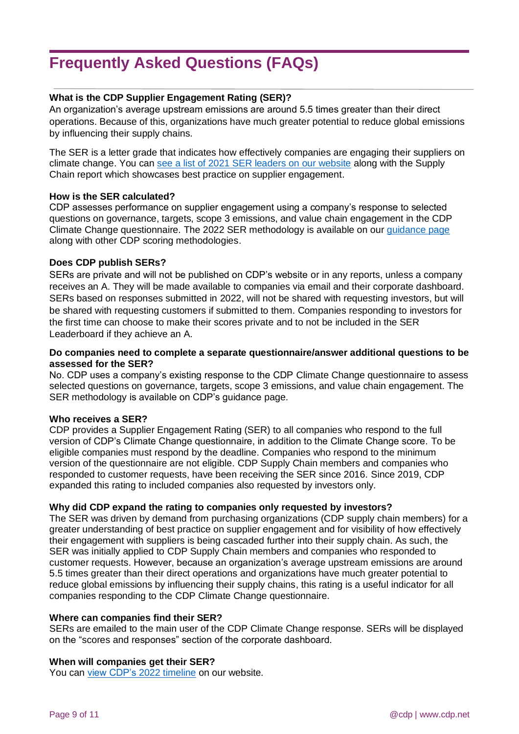# <span id="page-8-0"></span>**Frequently Asked Questions (FAQs)**

#### **What is the CDP Supplier Engagement Rating (SER)?**

An organization's average upstream emissions are around 5.5 times greater than their direct operations. Because of this, organizations have much greater potential to reduce global emissions by influencing their supply chains.

The SER is a letter grade that indicates how effectively companies are engaging their suppliers on climate change. You can see a list of 2021 [SER leaders on our website](https://www.cdp.net/en/research/global-reports/engaging-the-chain) along with the Supply Chain report which showcases best practice on supplier engagement.

#### **How is the SER calculated?**

CDP assesses performance on supplier engagement using a company's response to selected questions on governance, targets, scope 3 emissions, and value chain engagement in the CDP Climate Change questionnaire. The 2022 SER methodology is available on our [guidance page](https://www.cdp.net/en/guidance/guidance-for-companies) along with other CDP scoring methodologies.

#### **Does CDP publish SERs?**

SERs are private and will not be published on CDP's website or in any reports, unless a company receives an A. They will be made available to companies via email and their corporate dashboard. SERs based on responses submitted in 2022, will not be shared with requesting investors, but will be shared with requesting customers if submitted to them. Companies responding to investors for the first time can choose to make their scores private and to not be included in the SER Leaderboard if they achieve an A.

#### **Do companies need to complete a separate questionnaire/answer additional questions to be assessed for the SER?**

No. CDP uses a company's existing response to the CDP Climate Change questionnaire to assess selected questions on governance, targets, scope 3 emissions, and value chain engagement. The SER methodology is available on CDP's guidance page.

#### **Who receives a SER?**

CDP provides a Supplier Engagement Rating (SER) to all companies who respond to the full version of CDP's Climate Change questionnaire, in addition to the Climate Change score. To be eligible companies must respond by the deadline. Companies who respond to the minimum version of the questionnaire are not eligible. CDP Supply Chain members and companies who responded to customer requests, have been receiving the SER since 2016. Since 2019, CDP expanded this rating to included companies also requested by investors only.

#### **Why did CDP expand the rating to companies only requested by investors?**

The SER was driven by demand from purchasing organizations (CDP supply chain members) for a greater understanding of best practice on supplier engagement and for visibility of how effectively their engagement with suppliers is being cascaded further into their supply chain. As such, the SER was initially applied to CDP Supply Chain members and companies who responded to customer requests. However, because an organization's average upstream emissions are around 5.5 times greater than their direct operations and organizations have much greater potential to reduce global emissions by influencing their supply chains, this rating is a useful indicator for all companies responding to the CDP Climate Change questionnaire.

#### **Where can companies find their SER?**

SERs are emailed to the main user of the CDP Climate Change response. SERs will be displayed on the "scores and responses" section of the corporate dashboard.

#### **When will companies get their SER?**

You can [view CDP's 2022](https://www.cdp.net/en/companies-discloser/how-to-disclose-as-a-company#info) timeline on our website.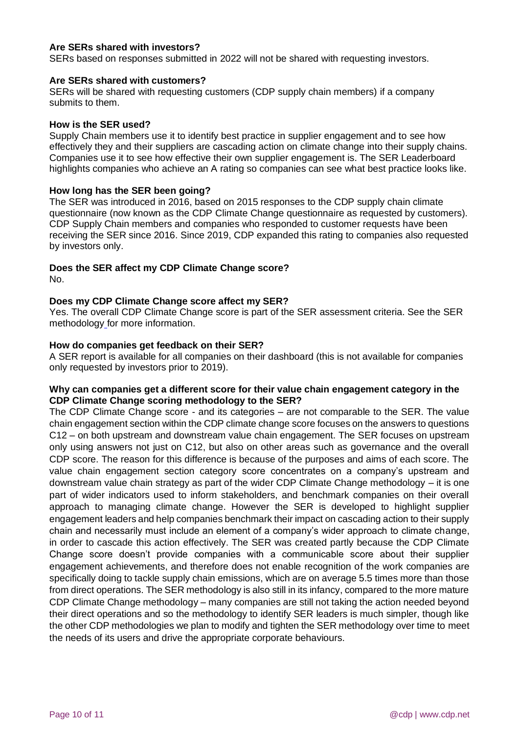#### **Are SERs shared with investors?**

SERs based on responses submitted in 2022 will not be shared with requesting investors.

#### **Are SERs shared with customers?**

SERs will be shared with requesting customers (CDP supply chain members) if a company submits to them.

#### **How is the SER used?**

Supply Chain members use it to identify best practice in supplier engagement and to see how effectively they and their suppliers are cascading action on climate change into their supply chains. Companies use it to see how effective their own supplier engagement is. The SER Leaderboard highlights companies who achieve an A rating so companies can see what best practice looks like.

#### **How long has the SER been going?**

The SER was introduced in 2016, based on 2015 responses to the CDP supply chain climate questionnaire (now known as the CDP Climate Change questionnaire as requested by customers). CDP Supply Chain members and companies who responded to customer requests have been receiving the SER since 2016. Since 2019, CDP expanded this rating to companies also requested by investors only.

### **Does the SER affect my CDP Climate Change score?**

No.

#### **Does my CDP Climate Change score affect my SER?**

Yes. The overall CDP Climate Change score is part of the SER assessment criteria. See the SER methodology for more information.

#### **How do companies get feedback on their SER?**

A SER report is available for all companies on their dashboard (this is not available for companies only requested by investors prior to 2019).

#### **Why can companies get a different score for their value chain engagement category in the CDP Climate Change scoring methodology to the SER?**

The CDP Climate Change score - and its categories – are not comparable to the SER. The value chain engagement section within the CDP climate change score focuses on the answers to questions C12 – on both upstream and downstream value chain engagement. The SER focuses on upstream only using answers not just on C12, but also on other areas such as governance and the overall CDP score. The reason for this difference is because of the purposes and aims of each score. The value chain engagement section category score concentrates on a company's upstream and downstream value chain strategy as part of the wider CDP Climate Change methodology – it is one part of wider indicators used to inform stakeholders, and benchmark companies on their overall approach to managing climate change. However the SER is developed to highlight supplier engagement leaders and help companies benchmark their impact on cascading action to their supply chain and necessarily must include an element of a company's wider approach to climate change, in order to cascade this action effectively. The SER was created partly because the CDP Climate Change score doesn't provide companies with a communicable score about their supplier engagement achievements, and therefore does not enable recognition of the work companies are specifically doing to tackle supply chain emissions, which are on average 5.5 times more than those from direct operations. The SER methodology is also still in its infancy, compared to the more mature CDP Climate Change methodology – many companies are still not taking the action needed beyond their direct operations and so the methodology to identify SER leaders is much simpler, though like the other CDP methodologies we plan to modify and tighten the SER methodology over time to meet the needs of its users and drive the appropriate corporate behaviours.